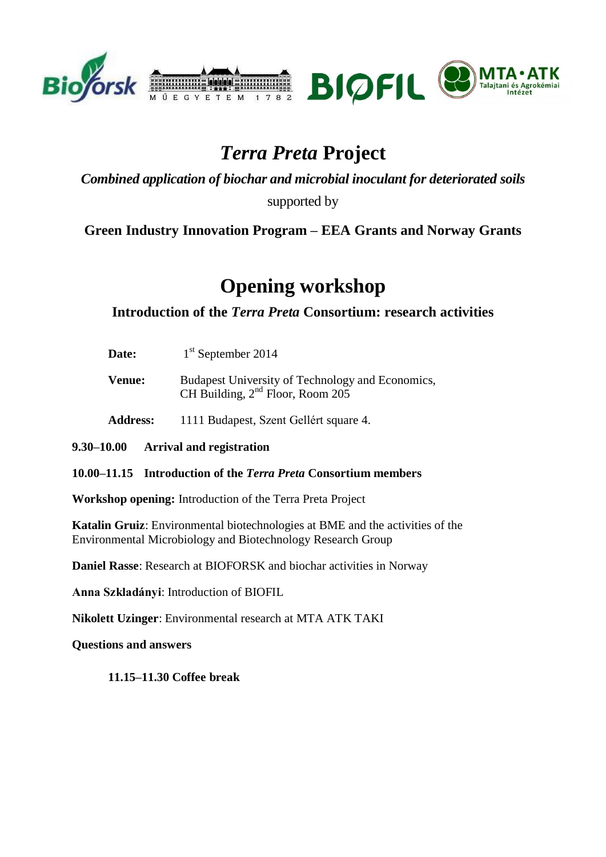

# *Terra Preta* **Project**

*Combined application of biochar and microbial inoculant for deteriorated soils* supported by

**Green Industry Innovation Program – EEA Grants and Norway Grants**

# **Opening workshop**

**Introduction of the** *Terra Preta* **Consortium: research activities**

**Venue:** Budapest University of Technology and Economics, CH Building,  $2<sup>nd</sup>$  Floor, Room 205

**Address:** 1111 Budapest, Szent Gellért square 4.

**9.30–10.00 Arrival and registration**

**10.00–11.15 Introduction of the** *Terra Preta* **Consortium members**

**Workshop opening:** Introduction of the Terra Preta Project

**Katalin Gruiz**: Environmental biotechnologies at BME and the activities of the Environmental Microbiology and Biotechnology Research Group

**Daniel Rasse**: Research at BIOFORSK and biochar activities in Norway

**Anna Szkladányi**: Introduction of BIOFIL

**Nikolett Uzinger**: Environmental research at MTA ATK TAKI

**Questions and answers**

**11.15–11.30 Coffee break**